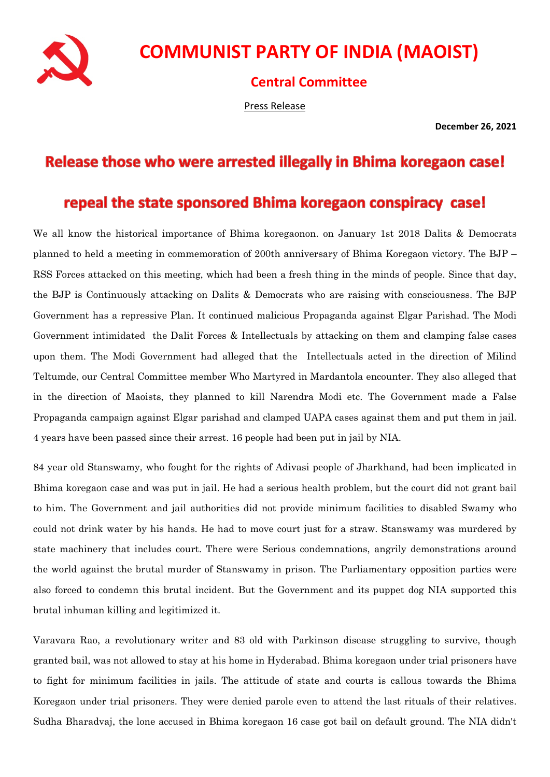

## **COMMUNIST PARTY OF INDIA (MAOIST)**

**Central Committee**

Press Release

**December 26, 2021**

## Release those who were arrested illegally in Bhima koregaon case!

## repeal the state sponsored Bhima koregaon conspiracy case!

We all know the historical importance of Bhima koregaonon. on January 1st 2018 Dalits & Democrats planned to held a meeting in commemoration of 200th anniversary of Bhima Koregaon victory. The BJP – RSS Forces attacked on this meeting, which had been a fresh thing in the minds of people. Since that day, the BJP is Continuously attacking on Dalits & Democrats who are raising with consciousness. The BJP Government has a repressive Plan. It continued malicious Propaganda against Elgar Parishad. The Modi Government intimidated the Dalit Forces & Intellectuals by attacking on them and clamping false cases upon them. The Modi Government had alleged that the Intellectuals acted in the direction of Milind Teltumde, our Central Committee member Who Martyred in Mardantola encounter. They also alleged that in the direction of Maoists, they planned to kill Narendra Modi etc. The Government made a False Propaganda campaign against Elgar parishad and clamped UAPA cases against them and put them in jail. 4 years have been passed since their arrest. 16 people had been put in jail by NIA.

84 year old Stanswamy, who fought for the rights of Adivasi people of Jharkhand, had been implicated in Bhima koregaon case and was put in jail. He had a serious health problem, but the court did not grant bail to him. The Government and jail authorities did not provide minimum facilities to disabled Swamy who could not drink water by his hands. He had to move court just for a straw. Stanswamy was murdered by state machinery that includes court. There were Serious condemnations, angrily demonstrations around the world against the brutal murder of Stanswamy in prison. The Parliamentary opposition parties were also forced to condemn this brutal incident. But the Government and its puppet dog NIA supported this brutal inhuman killing and legitimized it.

Varavara Rao, a revolutionary writer and 83 old with Parkinson disease struggling to survive, though granted bail, was not allowed to stay at his home in Hyderabad. Bhima koregaon under trial prisoners have to fight for minimum facilities in jails. The attitude of state and courts is callous towards the Bhima Koregaon under trial prisoners. They were denied parole even to attend the last rituals of their relatives. Sudha Bharadvaj, the lone accused in Bhima koregaon 16 case got bail on default ground. The NIA didn't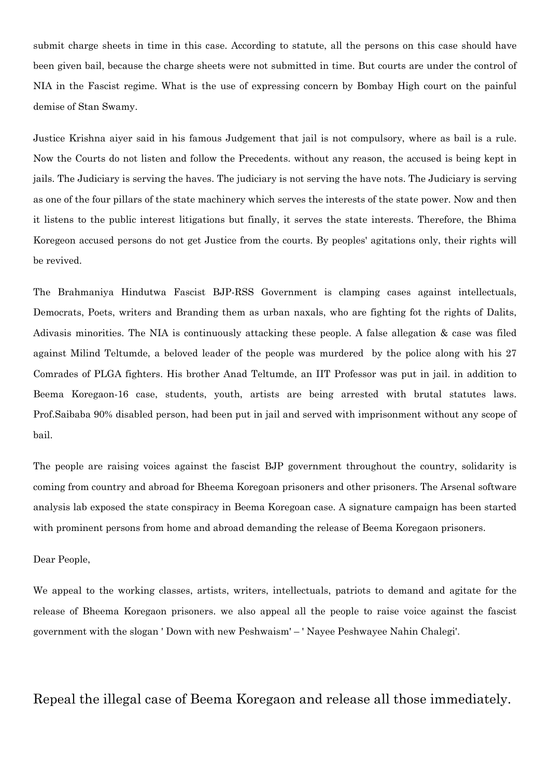submit charge sheets in time in this case. According to statute, all the persons on this case should have been given bail, because the charge sheets were not submitted in time. But courts are under the control of NIA in the Fascist regime. What is the use of expressing concern by Bombay High court on the painful demise of Stan Swamy.

Justice Krishna aiyer said in his famous Judgement that jail is not compulsory, where as bail is a rule. Now the Courts do not listen and follow the Precedents. without any reason, the accused is being kept in jails. The Judiciary is serving the haves. The judiciary is not serving the have nots. The Judiciary is serving as one of the four pillars of the state machinery which serves the interests of the state power. Now and then it listens to the public interest litigations but finally, it serves the state interests. Therefore, the Bhima Koregeon accused persons do not get Justice from the courts. By peoples' agitations only, their rights will be revived.

The Brahmaniya Hindutwa Fascist BJP-RSS Government is clamping cases against intellectuals, Democrats, Poets, writers and Branding them as urban naxals, who are fighting fot the rights of Dalits, Adivasis minorities. The NIA is continuously attacking these people. A false allegation & case was filed against Milind Teltumde, a beloved leader of the people was murdered by the police along with his 27 Comrades of PLGA fighters. His brother Anad Teltumde, an IIT Professor was put in jail. in addition to Beema Koregaon-16 case, students, youth, artists are being arrested with brutal statutes laws. Prof.Saibaba 90% disabled person, had been put in jail and served with imprisonment without any scope of bail.

The people are raising voices against the fascist BJP government throughout the country, solidarity is coming from country and abroad for Bheema Koregoan prisoners and other prisoners. The Arsenal software analysis lab exposed the state conspiracy in Beema Koregoan case. A signature campaign has been started with prominent persons from home and abroad demanding the release of Beema Koregaon prisoners.

## Dear People,

We appeal to the working classes, artists, writers, intellectuals, patriots to demand and agitate for the release of Bheema Koregaon prisoners. we also appeal all the people to raise voice against the fascist government with the slogan ' Down with new Peshwaism' – ' Nayee Peshwayee Nahin Chalegi'.

Repeal the illegal case of Beema Koregaon and release all those immediately.